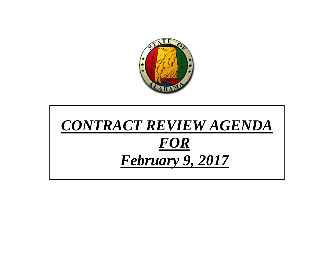

# *CONTRACT REVIEW AGENDA FOR February 9, 2017*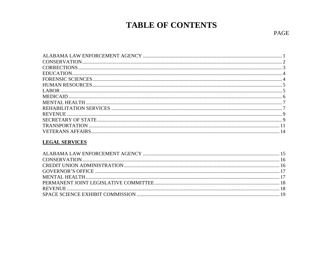# **TABLE OF CONTENTS**

## **LEGAL SERVICES**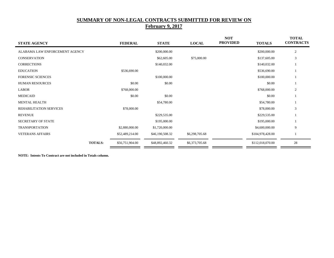# **SUMMARY OF NON-LEGAL CONTRACTS SUBMITTED FOR REVIEW ON February 9, 2017**

| <b>STATE AGENCY</b>            | <b>FEDERAL</b>  | <b>STATE</b>    | <b>LOCAL</b>   | <b>NOT</b><br><b>PROVIDED</b><br><b>TOTALS</b> | <b>TOTAL</b><br><b>CONTRACTS</b> |
|--------------------------------|-----------------|-----------------|----------------|------------------------------------------------|----------------------------------|
| ALABAMA LAW ENFORCEMENT AGENCY |                 | \$200,000.00    |                | \$200,000.00                                   | $\mathfrak{2}$                   |
| <b>CONSERVATION</b>            |                 | \$62,605.00     | \$75,000.00    | \$137,605.00                                   | 3                                |
| <b>CORRECTIONS</b>             |                 | \$140,032.00    |                | \$140,032.00                                   |                                  |
| <b>EDUCATION</b>               | \$536,690.00    |                 |                | \$536,690.00                                   |                                  |
| <b>FORENSIC SCIENCES</b>       |                 | \$100,000.00    |                | \$100,000.00                                   |                                  |
| <b>HUMAN RESOURCES</b>         | \$0.00          | \$0.00          |                | \$0.00                                         |                                  |
| <b>LABOR</b>                   | \$768,000.00    |                 |                | \$768,000.00                                   | $\overline{2}$                   |
| <b>MEDICAID</b>                | \$0.00          | \$0.00          |                | \$0.00                                         |                                  |
| <b>MENTAL HEALTH</b>           |                 | \$54,780.00     |                | \$54,780.00                                    |                                  |
| REHABILITATION SERVICES        | \$78,000.00     |                 |                | \$78,000.00                                    | 3                                |
| <b>REVENUE</b>                 |                 | \$229,535.00    |                | \$229,535.00                                   |                                  |
| <b>SECRETARY OF STATE</b>      |                 | \$195,000.00    |                | \$195,000.00                                   |                                  |
| <b>TRANSPORTATION</b>          | \$2,880,000.00  | \$1,720,000.00  |                | \$4,600,000.00                                 | 9                                |
| <b>VETERANS AFFAIRS</b>        | \$52,489,214.00 | \$46,190,508.32 | \$6,298,705.68 | \$104,978,428.00                               |                                  |
| <b>TOTALS:</b>                 | \$56,751,904.00 | \$48,892,460.32 | \$6,373,705.68 | \$112,018,070.00                               | 28                               |

**NOTE: Intents To Contract are not included in Totals column.**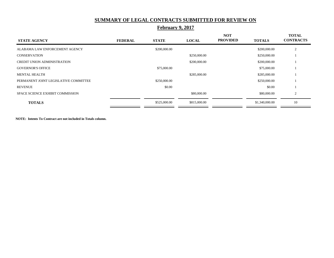#### **SUMMARY OF LEGAL CONTRACTS SUBMITTED FOR REVIEW ON**

| <b>STATE AGENCY</b>                   | <b>FEDERAL</b> | <b>STATE</b> | <b>LOCAL</b> | <b>NOT</b><br><b>PROVIDED</b> | <b>TOTALS</b>  | <b>TOTAL</b><br><b>CONTRACTS</b> |
|---------------------------------------|----------------|--------------|--------------|-------------------------------|----------------|----------------------------------|
| ALABAMA LAW ENFORCEMENT AGENCY        |                | \$200,000.00 |              |                               | \$200,000.00   | 2                                |
| <b>CONSERVATION</b>                   |                |              | \$250,000.00 |                               | \$250,000.00   |                                  |
| <b>CREDIT UNION ADMINISTRATION</b>    |                |              | \$200,000.00 |                               | \$200,000.00   |                                  |
| <b>GOVERNOR'S OFFICE</b>              |                | \$75,000.00  |              |                               | \$75,000.00    |                                  |
| <b>MENTAL HEALTH</b>                  |                |              | \$285,000.00 |                               | \$285,000.00   |                                  |
| PERMANENT JOINT LEGISLATIVE COMMITTEE |                | \$250,000.00 |              |                               | \$250,000.00   |                                  |
| <b>REVENUE</b>                        |                | \$0.00       |              |                               | \$0.00         |                                  |
| SPACE SCIENCE EXHIBIT COMMISSION      |                |              | \$80,000.00  |                               | \$80,000.00    | $\overline{2}$                   |
| <b>TOTALS</b>                         |                | \$525,000.00 | \$815,000.00 |                               | \$1,340,000.00 | 10                               |

# **February 9, 2017**

**NOTE: Intents To Contract are not included in Totals column.**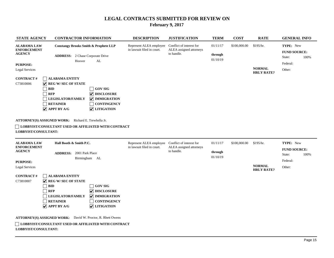| <b>STATE AGENCY</b>                                       | <b>CONTRACTOR INFORMATION</b>                                                                                                                                                                                                  |                                                                                                  | <b>DESCRIPTION</b>                                    | <b>JUSTIFICATION</b>                                              | <b>TERM</b>                     | <b>COST</b>  | <b>RATE</b>                        | <b>GENERAL INFO</b>                                    |      |
|-----------------------------------------------------------|--------------------------------------------------------------------------------------------------------------------------------------------------------------------------------------------------------------------------------|--------------------------------------------------------------------------------------------------|-------------------------------------------------------|-------------------------------------------------------------------|---------------------------------|--------------|------------------------------------|--------------------------------------------------------|------|
| <b>ALABAMA LAW</b><br><b>ENFORCEMENT</b><br><b>AGENCY</b> | <b>Constangy Brooks Smith &amp; Prophete LLP</b><br><b>ADDRESS:</b><br>Hoover                                                                                                                                                  | 2 Chase Corporate Drive<br>AL                                                                    | Represent ALEA employee<br>in lawsuit filed in court. | Conflict of interest for<br>ALEA assigned attorneys<br>to handle. | 01/11/17<br>through<br>01/10/19 | \$100,000.00 | \$195/hr.                          | TYPE: New<br><b>FUND SOURCE:</b><br>State:<br>Federal: | 100% |
| <b>PURPOSE:</b><br>Legal Services<br><b>CONTRACT#</b>     | <b>ALABAMA ENTITY</b>                                                                                                                                                                                                          |                                                                                                  |                                                       |                                                                   |                                 |              | <b>NORMAL</b><br><b>HRLY RATE?</b> | Other:                                                 |      |
| C73810006                                                 | $ $ REG W/ SEC OF STATE<br>BID<br><b>RFP</b><br><b>LEGISLATOR/FAMILY</b><br><b>RETAINER</b><br>$ $ APPT BY A/G                                                                                                                 | <b>GOV SIG</b><br>$ $ DISCLOSURE<br><b>V</b> IMMIGRATION<br><b>CONTINGENCY</b><br>$ $ LITIGATION |                                                       |                                                                   |                                 |              |                                    |                                                        |      |
| ATTORNEY(S) ASSIGNED WORK:                                | and the contract of the contract of the contract of the contract of the contract of the contract of the contract of the contract of the contract of the contract of the contract of the contract of the contract of the contra | Richard E. Trewhella Jr.                                                                         |                                                       |                                                                   |                                 |              |                                    |                                                        |      |

| <b>ALABAMA LAW</b><br><b>ENFORCEMENT</b><br><b>AGENCY</b>             | Hall Booth & Smith P.C.                              |                      | Represent ALEA employee<br>in lawsuit filed in court. | Conflict of interest for<br>ALEA assigned attorneys | 01/11/17            | \$100,000.00 | \$195/hr.                          | TYPE: New                     |      |
|-----------------------------------------------------------------------|------------------------------------------------------|----------------------|-------------------------------------------------------|-----------------------------------------------------|---------------------|--------------|------------------------------------|-------------------------------|------|
|                                                                       | <b>ADDRESS:</b><br>2001 Park Place                   |                      |                                                       | to handle.                                          | through<br>01/10/19 |              |                                    | <b>FUND SOURCE:</b><br>State: | 100% |
| <b>PURPOSE:</b>                                                       |                                                      | Birmingham AL        |                                                       |                                                     |                     |              |                                    | Federal:                      |      |
| Legal Services                                                        |                                                      |                      |                                                       |                                                     |                     |              | <b>NORMAL</b><br><b>HRLY RATE?</b> | Other:                        |      |
| <b>CONTRACT#</b>                                                      | <b>ALABAMA ENTITY</b>                                |                      |                                                       |                                                     |                     |              |                                    |                               |      |
| C73810007                                                             | $ $ $\vee$ REG W/ SEC OF STATE                       |                      |                                                       |                                                     |                     |              |                                    |                               |      |
|                                                                       | <b>BID</b>                                           | <b>GOV SIG</b>       |                                                       |                                                     |                     |              |                                    |                               |      |
|                                                                       | <b>RFP</b>                                           | DISCLOSURE           |                                                       |                                                     |                     |              |                                    |                               |      |
|                                                                       | <b>LEGISLATOR/FAMILY</b>                             | <b>V</b> IMMIGRATION |                                                       |                                                     |                     |              |                                    |                               |      |
|                                                                       | <b>RETAINER</b>                                      | <b>CONTINGENCY</b>   |                                                       |                                                     |                     |              |                                    |                               |      |
|                                                                       | $ $ APPT BY A/G                                      | <b>V</b> LITIGATION  |                                                       |                                                     |                     |              |                                    |                               |      |
| <b>ATTORNEY(S) ASSIGNED WORK:</b><br>David W. Proctor, R. Rhett Owens |                                                      |                      |                                                       |                                                     |                     |              |                                    |                               |      |
|                                                                       | LOBBYIST/CONSULTANT USED OR AFFILIATED WITH CONTRACT |                      |                                                       |                                                     |                     |              |                                    |                               |      |
| LOBBYIST/CONSULTANT:                                                  |                                                      |                      |                                                       |                                                     |                     |              |                                    |                               |      |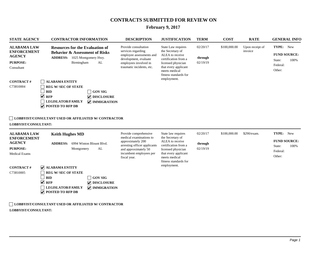# **February 9, 2017**

| <b>STATE AGENCY</b>                                                                                                                                    | <b>CONTRACTOR INFORMATION</b>                                                                                                                                                                                                                                                                                                                                                                                                      | <b>DESCRIPTION</b>                                                                                                                                                       | <b>JUSTIFICATION</b>                                                                                                                                                                     | <b>TERM</b>                     | <b>COST</b>  | <b>RATE</b>                | <b>GENERAL INFO</b>                                                      |
|--------------------------------------------------------------------------------------------------------------------------------------------------------|------------------------------------------------------------------------------------------------------------------------------------------------------------------------------------------------------------------------------------------------------------------------------------------------------------------------------------------------------------------------------------------------------------------------------------|--------------------------------------------------------------------------------------------------------------------------------------------------------------------------|------------------------------------------------------------------------------------------------------------------------------------------------------------------------------------------|---------------------------------|--------------|----------------------------|--------------------------------------------------------------------------|
| <b>ALABAMA LAW</b><br><b>ENFORCEMENT</b><br><b>AGENCY</b><br><b>PURPOSE:</b><br>Consultant<br><b>CONTRACT#</b><br>C73810004                            | <b>Resources for the Evaluation of</b><br><b>Behavior &amp; Assessment of Risks</b><br>ADDRESS: 1025 Montgomery Hwy.<br>Birmingham<br>AL<br><b>ALABAMA ENTITY</b><br><b>REG W/SEC OF STATE</b><br><b>BID</b><br><b>GOV SIG</b><br>$\blacktriangledown$<br><b>RFP</b><br>DISCLOSURE<br><b>LEGISLATOR/FAMILY</b><br><b>V</b> IMMIGRATION<br>$\triangledown$ POSTED TO RFP DB<br>LOBBYIST/CONSULTANT USED OR AFFILIATED W/ CONTRACTOR | Provide consultation<br>services regarding<br>employee assessments and<br>development, evaluate<br>employees involved in<br>traumatic incidents, etc.                    | State Law requires<br>the Secretary of<br>ALEA to receive<br>certification from a<br>licensed physician<br>that every applicant<br>meets medical<br>fitness standards for<br>employment. | 02/20/17<br>through<br>02/19/19 | \$100,000.00 | Upon receipt of<br>invoice | TYPE: New<br><b>FUND SOURCE:</b><br>100%<br>State:<br>Federal:<br>Other: |
| LOBBYIST/CONSULTANT:<br><b>ALABAMA LAW</b><br><b>ENFORCEMENT</b><br><b>AGENCY</b><br>PURPOSE:<br><b>Medical Exams</b><br><b>CONTRACT#</b><br>C73810005 | <b>Keith Hughes MD</b><br><b>ADDRESS:</b> 6994 Winton Blount Blvd.<br>Montgomery<br>AL<br><b>V</b> ALABAMA ENTITY<br><b>REG W/SEC OF STATE</b><br><b>BID</b><br><b>GOV SIG</b><br>$\blacktriangledown$<br><b>RFP</b><br>$\triangledown$ DISCLOSURE<br><b>LEGISLATOR/FAMILY</b><br>$\sqrt{\phantom{a}}$ IMMIGRATION<br>$\triangledown$ POSTED TO RFP DB<br><b>LOBBYIST/CONSULTANT USED OR AFFILIATED W/ CONTRACTOR</b>              | Provide comprehensive<br>medical examinations to<br>approximately 200<br>arresting officer applicants<br>and approximately 50<br>incumbent employees per<br>fiscal year. | State law requires<br>the Secretary of<br>ALEA to receive<br>certification from a<br>licensed physician<br>that every applicant<br>meets medical<br>fitness standards for<br>employment. | 02/20/17<br>through<br>02/19/19 | \$100,000.00 | \$290/exam.                | TYPE: New<br><b>FUND SOURCE:</b><br>100%<br>State:<br>Federal:<br>Other: |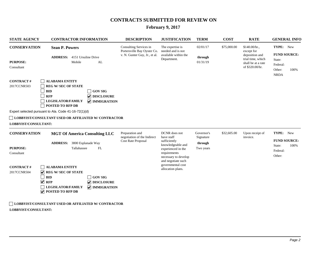# **February 9, 2017**

| <b>STATE AGENCY</b>                                              | <b>CONTRACTOR INFORMATION</b>                                                                                                                                                                                                                                                                                          | <b>DESCRIPTION</b>                                                                     | <b>JUSTIFICATION</b>                                                                                                                                                          | <b>TERM</b>                       | <b>COST</b> | <b>RATE</b>                                                                                                 | <b>GENERAL INFO</b>                                                        |
|------------------------------------------------------------------|------------------------------------------------------------------------------------------------------------------------------------------------------------------------------------------------------------------------------------------------------------------------------------------------------------------------|----------------------------------------------------------------------------------------|-------------------------------------------------------------------------------------------------------------------------------------------------------------------------------|-----------------------------------|-------------|-------------------------------------------------------------------------------------------------------------|----------------------------------------------------------------------------|
| <b>CONSERVATION</b>                                              | <b>Sean P. Powers</b>                                                                                                                                                                                                                                                                                                  | Consulting Services in<br>Portersville Bay Oyster Co.<br>v. N. Gunter Guy, Jr., et al. | The expertise is<br>needed and is not<br>available within the<br>Department.                                                                                                  | 02/01/17                          | \$75,000.00 | \$140.00/hr.,<br>except for<br>deposition and<br>trial time, which<br>shall be at a rate<br>of \$320.00/hr. | TYPE: New                                                                  |
| <b>PURPOSE:</b><br>Consultant                                    | <b>ADDRESS:</b> 4151 Ursuline Drive<br>Mobile<br>AL                                                                                                                                                                                                                                                                    |                                                                                        |                                                                                                                                                                               | through<br>01/31/19               |             |                                                                                                             | <b>FUND SOURCE:</b><br>State:<br>Federal:<br>100%<br>Other:<br><b>NRDA</b> |
| <b>CONTRACT#</b><br>2017CCNR503<br>LOBBYIST/CONSULTANT:          | <b>ALABAMA ENTITY</b><br><b>REG W/SEC OF STATE</b><br><b>GOV SIG</b><br><b>BID</b><br><b>RFP</b><br><b>V</b> DISCLOSURE<br><b>LEGISLATOR/FAMILY</b><br><b>V</b> IMMIGRATION<br><b>POSTED TO RFP DB</b><br>Expert selected pursuant to Ala. Code 41-16-72(1)(d)<br>LOBBYIST/CONSULTANT USED OR AFFILIATED W/ CONTRACTOR |                                                                                        |                                                                                                                                                                               |                                   |             |                                                                                                             |                                                                            |
| <b>CONSERVATION</b>                                              | <b>MGT Of America Consulting LLC</b>                                                                                                                                                                                                                                                                                   | Preparation and                                                                        | DCNR does not                                                                                                                                                                 | Governor's                        | \$32,605.00 | Upon receipt of                                                                                             | TYPE: New                                                                  |
| <b>PURPOSE:</b><br>Consultant<br><b>CONTRACT#</b><br>2017CCNR504 | <b>ADDRESS:</b> 3800 Esplanade Way<br>FL<br>Tallahassee<br><b>ALABAMA ENTITY</b><br>$\sqrt{\phantom{a}}$ REG W/ SEC OF STATE<br><b>BID</b><br><b>GOV SIG</b>                                                                                                                                                           | negotiation of the Indirect<br><b>Cost Rate Proposal</b>                               | have staff<br>sufficiently<br>knowledgeable and<br>experienced in the<br>requirements<br>necessary to develop<br>and negotiate such<br>governmental cost<br>allocation plans. | Signature<br>through<br>Two years |             | invoice.                                                                                                    | <b>FUND SOURCE:</b><br>100%<br>State:<br>Federal:<br>Other:                |
|                                                                  | $\vee$ RFP<br>$\triangledown$ DISCLOSURE<br><b>LEGISLATOR/FAMILY</b><br><b>V</b> IMMIGRATION<br>$\triangledown$ POSTED TO RFP DB<br>LOBBYIST/CONSULTANT USED OR AFFILIATED W/ CONTRACTOR                                                                                                                               |                                                                                        |                                                                                                                                                                               |                                   |             |                                                                                                             |                                                                            |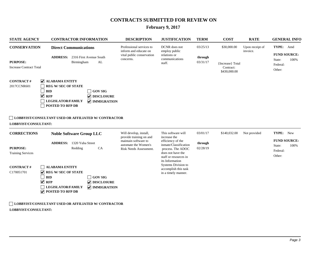# **February 9, 2017**

| <b>STATE AGENCY</b>                                     | <b>CONTRACTOR INFORMATION</b>                                                                                                                                                                                                             | <b>DESCRIPTION</b>                                                                                | <b>JUSTIFICATION</b>                                                                                                                             | <b>TERM</b>         | <b>COST</b>                                   | <b>RATE</b>                 | <b>GENERAL INFO</b>                                         |
|---------------------------------------------------------|-------------------------------------------------------------------------------------------------------------------------------------------------------------------------------------------------------------------------------------------|---------------------------------------------------------------------------------------------------|--------------------------------------------------------------------------------------------------------------------------------------------------|---------------------|-----------------------------------------------|-----------------------------|-------------------------------------------------------------|
| <b>CONSERVATION</b>                                     | <b>Direct Communications</b><br><b>ADDRESS:</b> 2316 First Avenue South                                                                                                                                                                   | Professional services to<br>inform and educate on<br>vital public conservation<br>concerns.       | DCNR does not<br>employ public<br>relations or<br>communications                                                                                 | 03/25/13<br>through | \$30,000.00                                   | Upon receipt of<br>invoice. | TYPE: Amd<br><b>FUND SOURCE:</b><br>100%<br>State:          |
| <b>PURPOSE:</b><br><b>Increase Contract Total</b>       | AL<br>Birmingham                                                                                                                                                                                                                          |                                                                                                   | staff.                                                                                                                                           | 03/31/17            | {Increase} Total<br>Contract:<br>\$430,000.00 |                             | Federal:<br>Other:                                          |
| <b>CONTRACT#</b><br>2017CCNR601<br>LOBBYIST/CONSULTANT: | <b>V</b> ALABAMA ENTITY<br><b>REG W/SEC OF STATE</b><br><b>BID</b><br>GOV SIG<br>$\vee$ RFP<br>DISCLOSURE<br><b>LEGISLATOR/FAMILY</b><br><b>V</b> IMMIGRATION<br>POSTED TO RFP DB<br>LOBBYIST/CONSULTANT USED OR AFFILIATED W/ CONTRACTOR |                                                                                                   |                                                                                                                                                  |                     |                                               |                             |                                                             |
| <b>CORRECTIONS</b>                                      | <b>Noble Software Group LLC</b>                                                                                                                                                                                                           | Will develop, install,                                                                            | This software will                                                                                                                               | 03/01/17            | \$140,032.00                                  | Not provided                | TYPE: New                                                   |
| <b>PURPOSE:</b><br><b>Training Services</b>             | 1320 Yuba Street<br><b>ADDRESS:</b><br>Redding<br>CA                                                                                                                                                                                      | provide training on and<br>maintain software to<br>automate the Women's<br>Risk Needs Assessment. | increase the<br>efficiency of the<br>inmate/Classification<br>process. The ADOC<br>does not have the<br>staff or resources in<br>its Information | through<br>02/28/19 |                                               |                             | <b>FUND SOURCE:</b><br>100%<br>State:<br>Federal:<br>Other: |
| <b>CONTRACT#</b><br>C170051701                          | <b>ALABAMA ENTITY</b><br><b>REG W/SEC OF STATE</b><br><b>BID</b><br><b>GOV SIG</b><br>$\vee$ RFP<br>$\triangledown$ DISCLOSURE<br><b>LEGISLATOR/FAMILY</b><br><b>V</b> IMMIGRATION<br>$\triangledown$ POSTED TO RFP DB                    |                                                                                                   | Systems Division to<br>accomplish this task<br>in a timely manner.                                                                               |                     |                                               |                             |                                                             |
|                                                         | LOBBYIST/CONSULTANT USED OR AFFILIATED W/ CONTRACTOR                                                                                                                                                                                      |                                                                                                   |                                                                                                                                                  |                     |                                               |                             |                                                             |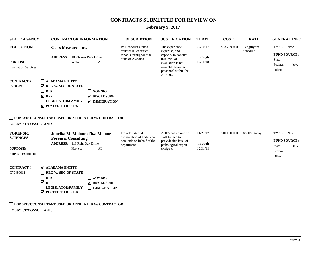# **February 9, 2017**

| <b>STATE AGENCY</b>                                               | <b>CONTRACTOR INFORMATION</b>                                                                                                                                                                                                                                            | <b>DESCRIPTION</b>                                                                          | <b>JUSTIFICATION</b>                                                                                                                                   | <b>TERM</b>                     | <b>COST</b>  | <b>RATE</b>              | <b>GENERAL INFO</b>                                                      |
|-------------------------------------------------------------------|--------------------------------------------------------------------------------------------------------------------------------------------------------------------------------------------------------------------------------------------------------------------------|---------------------------------------------------------------------------------------------|--------------------------------------------------------------------------------------------------------------------------------------------------------|---------------------------------|--------------|--------------------------|--------------------------------------------------------------------------|
| <b>EDUCATION</b><br><b>PURPOSE:</b><br><b>Evaluation Services</b> | <b>Class Measures Inc.</b><br>100 Tower Park Drive<br><b>ADDRESS:</b><br>Woburn<br>AL                                                                                                                                                                                    | Will conduct Ofsted<br>reviews in identified<br>schools throughout the<br>State of Alabama. | The experience,<br>expertise, and<br>capacity to conduct<br>this level of<br>evaluation is not<br>available from the<br>personnel within the<br>ALSDE. | 02/10/17<br>through<br>02/10/18 | \$536,690.00 | Lengthy fee<br>schedule. | TYPE: New<br><b>FUND SOURCE:</b><br>State:<br>Federal:<br>100%<br>Other: |
| <b>CONTRACT#</b><br>C700349                                       | <b>ALABAMA ENTITY</b><br>$\triangledown$ REG W/ SEC OF STATE<br><b>BID</b><br><b>GOV SIG</b><br>$\vee$ RFP<br>DISCLOSURE<br><b>LEGISLATOR/FAMILY</b><br><b>V</b> IMMIGRATION<br>$\triangledown$ POSTED TO RFP DB<br>LOBBYIST/CONSULTANT USED OR AFFILIATED W/ CONTRACTOR |                                                                                             |                                                                                                                                                        |                                 |              |                          |                                                                          |
| LOBBYIST/CONSULTANT:<br><b>FORENSIC</b>                           | Jonrika M. Malone d/b/a Malone                                                                                                                                                                                                                                           | Provide external                                                                            | ADFS has no one on                                                                                                                                     | 01/27/17                        | \$100,000.00 | \$500/autopsy.           | TYPE: New                                                                |
| <b>SCIENCES</b><br><b>PURPOSE:</b><br>Forensic Examination        | <b>Forensic Consulting</b><br><b>ADDRESS:</b> 118 Rain Oak Drive<br>AL<br>Harvest                                                                                                                                                                                        | examination of bodies non<br>homicide on behalf of the<br>department.                       | staff trained to<br>provide this level of<br>pathological expert<br>analysis.                                                                          | through<br>12/31/18             |              |                          | <b>FUND SOURCE:</b><br>100%<br>State:<br>Federal:                        |
| <b>CONTRACT#</b><br>C70480011                                     | $\sqrt{\phantom{a}}$ ALABAMA ENTITY<br><b>REG W/SEC OF STATE</b><br><b>BID</b><br><b>GOV SIG</b><br>$\vee$ RFP<br>$\sqrt{\phantom{a}}$ DISCLOSURE<br><b>LEGISLATOR/FAMILY</b><br><b>IMMIGRATION</b><br>$\triangledown$ POSTED TO RFP DB                                  |                                                                                             |                                                                                                                                                        |                                 |              |                          | Other:                                                                   |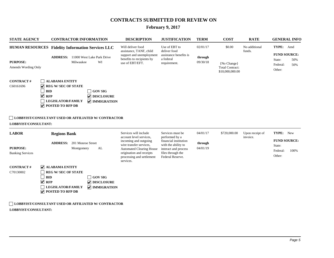# **February 9, 2017**

| <b>STATE AGENCY</b>                        | <b>CONTRACTOR INFORMATION</b>                                                                                                                                                                                                                                   | <b>DESCRIPTION</b>                                                                                                                                        | <b>JUSTIFICATION</b>                                                                                          | <b>TERM</b>         | <b>COST</b>                                              | <b>RATE</b>                 | <b>GENERAL INFO</b>                                               |
|--------------------------------------------|-----------------------------------------------------------------------------------------------------------------------------------------------------------------------------------------------------------------------------------------------------------------|-----------------------------------------------------------------------------------------------------------------------------------------------------------|---------------------------------------------------------------------------------------------------------------|---------------------|----------------------------------------------------------|-----------------------------|-------------------------------------------------------------------|
|                                            | HUMAN RESOURCES Fidelity Information Services LLC                                                                                                                                                                                                               | Will deliver food<br>assistance, TANF, child                                                                                                              | Use of EBT to<br>deliver food                                                                                 | 02/01/17            | \$0.00                                                   | No additional<br>funds.     | TYPE: Amd                                                         |
| <b>PURPOSE:</b><br>Amends Wording Only     | <b>ADDRESS:</b> 11000 West Lake Park Drive<br>WI<br>Milwaukee                                                                                                                                                                                                   | support and unemployment<br>benefits to recipients by<br>use of EBT/EFT.                                                                                  | assistance benefits is<br>a federal<br>requirement.                                                           | through<br>09/30/18 | {No Change}<br><b>Total Contract:</b><br>\$10,000,000.00 |                             | <b>FUND SOURCE:</b><br>State:<br>50%<br>Federal:<br>50%<br>Other: |
| <b>CONTRACT#</b><br>C60161696              | <b>ALABAMA ENTITY</b><br>$\overline{\mathbf{v}}$<br><b>REG W/ SEC OF STATE</b><br><b>BID</b><br>GOV SIG<br>$\blacktriangledown$<br><b>RFP</b><br>$\triangledown$ DISCLOSURE<br><b>LEGISLATOR/FAMILY</b><br><b>V</b> IMMIGRATION<br><b>POSTED TO RFP DB</b><br>V |                                                                                                                                                           |                                                                                                               |                     |                                                          |                             |                                                                   |
| LOBBYIST/CONSULTANT:                       | LOBBYIST/CONSULTANT USED OR AFFILIATED W/ CONTRACTOR                                                                                                                                                                                                            |                                                                                                                                                           |                                                                                                               |                     |                                                          |                             |                                                                   |
| <b>LABOR</b>                               | <b>Regions Bank</b>                                                                                                                                                                                                                                             | Services will include<br>account level services,                                                                                                          | Services must be<br>performed by a                                                                            | 04/01/17            | \$720,000.00                                             | Upon receipt of<br>invoice. | TYPE: New                                                         |
| <b>PURPOSE:</b><br><b>Banking Services</b> | <b>ADDRESS:</b> 201 Monroe Street<br>Montgomery<br>AL                                                                                                                                                                                                           | incoming and outgoing<br>wire transfer services,<br><b>Automated Clearing House</b><br>origination and receipts<br>processing and settlement<br>services. | financial institution<br>with the ability to<br>interact and process<br>files through the<br>Federal Reserve. | through<br>04/01/19 |                                                          |                             | <b>FUND SOURCE:</b><br>State:<br>Federal:<br>100%<br>Other:       |
| <b>CONTRACT#</b><br>C70130002              | <b>V</b> ALABAMA ENTITY<br><b>REG W/SEC OF STATE</b><br><b>BID</b><br><b>GOV SIG</b><br>$\blacktriangledown$<br><b>RFP</b><br>$\nabla$ DISCLOSURE<br>$\sqrt{\phantom{a}}$ IMMIGRATION<br>LEGISLATOR/FAMILY<br>$\blacktriangledown$<br><b>POSTED TO RFP DB</b>   |                                                                                                                                                           |                                                                                                               |                     |                                                          |                             |                                                                   |
|                                            | <b>LOBBYIST/CONSULTANT USED OR AFFILIATED W/ CONTRACTOR</b>                                                                                                                                                                                                     |                                                                                                                                                           |                                                                                                               |                     |                                                          |                             |                                                                   |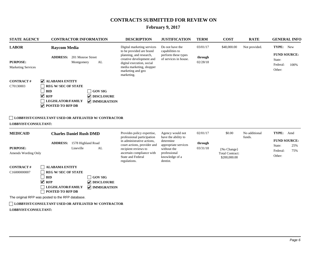#### **February 9, 2017**

| <b>STATE AGENCY</b>                                          | <b>CONTRACTOR INFORMATION</b>                                                                                                                                                                                                                            | <b>DESCRIPTION</b>                                                                                                                                                                                                     | <b>JUSTIFICATION</b>                                                                                                                      | <b>TERM</b>                     | <b>COST</b>                                                     | <b>RATE</b>             | <b>GENERAL INFO</b>                                                                |
|--------------------------------------------------------------|----------------------------------------------------------------------------------------------------------------------------------------------------------------------------------------------------------------------------------------------------------|------------------------------------------------------------------------------------------------------------------------------------------------------------------------------------------------------------------------|-------------------------------------------------------------------------------------------------------------------------------------------|---------------------------------|-----------------------------------------------------------------|-------------------------|------------------------------------------------------------------------------------|
| <b>LABOR</b><br><b>PURPOSE:</b><br><b>Marketing Services</b> | <b>Raycom Media</b><br>201 Monroe Street<br><b>ADDRESS:</b><br>AL<br>Montgomery                                                                                                                                                                          | Digital marketing services<br>to be provided are brand<br>planning, and research,<br>creative development and<br>digital execution, social<br>media marketing, shopper<br>marketing and geo<br>marketing.              | Do not have the<br>capabilities to<br>perform these types<br>of services in house.                                                        | 03/01/17<br>through<br>02/28/18 | \$48,000.00                                                     | Not provided.           | TYPE:<br><b>New</b><br><b>FUND SOURCE:</b><br>State:<br>Federal:<br>100%<br>Other: |
| <b>CONTRACT#</b><br>C70130003<br>LOBBYIST/CONSULTANT:        | V ALABAMA ENTITY<br><b>REG W/SEC OF STATE</b><br><b>GOV SIG</b><br><b>BID</b><br>$\vee$ RFP<br><b>V</b> DISCLOSURE<br><b>LEGISLATOR/FAMILY</b><br>$\sqrt{}$ IMMIGRATION<br>⊽<br>POSTED TO RFP DB<br>LOBBYIST/CONSULTANT USED OR AFFILIATED W/ CONTRACTOR |                                                                                                                                                                                                                        |                                                                                                                                           |                                 |                                                                 |                         |                                                                                    |
| <b>MEDICAID</b><br><b>PURPOSE:</b><br>Amends Wording Only    | <b>Charles Daniel Rush DMD</b><br><b>ADDRESS:</b> 1578 Highland Road<br>Lineville<br>AL                                                                                                                                                                  | Provides policy expertise,<br>professional participation<br>in administrative actions,<br>court actions, provider and<br>recipient reviews to<br>ascertain compliance with<br><b>State and Federal</b><br>regulations. | Agency would not<br>have the ability to<br>determine<br>appropriate services<br>without the<br>professional<br>knowledge of a<br>dentist. | 02/01/17<br>through<br>03/31/18 | \$0.00<br>{No Change}<br><b>Total Contract:</b><br>\$200,000.00 | No additional<br>funds. | TYPE:<br>Amd<br><b>FUND SOURCE:</b><br>State:<br>25%<br>Federal:<br>75%<br>Other:  |
| <b>CONTRACT#</b><br>C16000000007                             | <b>ALABAMA ENTITY</b><br><b>REG W/SEC OF STATE</b><br><b>BID</b><br><b>GOV SIG</b><br>$\blacktriangledown$<br><b>V</b> DISCLOSURE<br><b>RFP</b><br><b>LEGISLATOR/FAMILY</b><br><b>V</b> IMMIGRATION<br>POSTED TO RFP DB                                  |                                                                                                                                                                                                                        |                                                                                                                                           |                                 |                                                                 |                         |                                                                                    |

The original RFP was posted to the RFP database.

**LOBBYIST/CONSULTANT USED OR AFFILIATED W/ CONTRACTOR**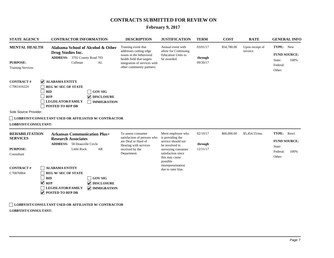# **February 9, 2017**

| <b>STATE AGENCY</b>                                                                                                                                                                                        | <b>CONTRACTOR INFORMATION</b>                                                                                                                                                                                                                         | <b>DESCRIPTION</b>                                                                                                                                                  | <b>JUSTIFICATION</b>                                                                                                                                     | <b>TERM</b>                     | <b>COST</b> | <b>RATE</b>                 | <b>GENERAL INFO</b>                                                          |  |
|------------------------------------------------------------------------------------------------------------------------------------------------------------------------------------------------------------|-------------------------------------------------------------------------------------------------------------------------------------------------------------------------------------------------------------------------------------------------------|---------------------------------------------------------------------------------------------------------------------------------------------------------------------|----------------------------------------------------------------------------------------------------------------------------------------------------------|---------------------------------|-------------|-----------------------------|------------------------------------------------------------------------------|--|
| <b>MENTAL HEALTH</b><br><b>PURPOSE:</b><br><b>Training Services</b>                                                                                                                                        | Alabama School of Alcohol & Other<br>Drug Studies Inc.<br>ADDRESS: 3792 County Road 703<br>Cullman<br>AL                                                                                                                                              | Training event that<br>addresses cutting edge<br>issues in the behavioral<br>health field that targets<br>integration of services with<br>other community partners. | Annual event with<br>allow for Continuing<br><b>Education Units to</b><br>be awarded.                                                                    | 03/01/17<br>through<br>09/30/17 | \$54,780.00 | Upon receipt of<br>invoice. | TYPE: New<br><b>FUND SOURCE:</b><br>State:<br>100%<br>Federal:<br>Other:     |  |
| <b>CONTRACT#</b><br>C7061416224<br>Sole Source Provider.                                                                                                                                                   | <b>V</b> ALABAMA ENTITY<br><b>REG W/SEC OF STATE</b><br><b>BID</b><br><b>GOV SIG</b><br><b>RFP</b><br>DISCLOSURE<br><b>LEGISLATOR/FAMILY</b><br><b>IMMIGRATION</b><br><b>POSTED TO RFP DB</b><br>LOBBYIST/CONSULTANT USED OR AFFILIATED W/ CONTRACTOR |                                                                                                                                                                     |                                                                                                                                                          |                                 |             |                             |                                                                              |  |
| LOBBYIST/CONSULTANT:                                                                                                                                                                                       |                                                                                                                                                                                                                                                       |                                                                                                                                                                     |                                                                                                                                                          |                                 |             |                             |                                                                              |  |
| <b>REHABILITATION</b><br><b>Arkansas Communication Plus+</b><br><b>SERVICES</b><br><b>Research Associates</b><br><b>ADDRESS:</b> 58 Deauville Circle<br><b>PURPOSE:</b><br>AR<br>Little Rock<br>Consultant |                                                                                                                                                                                                                                                       | To assess consumer<br>satisfaction of persons who<br>are Deaf or Hard of<br>Hearing with services<br>received by the<br>Department.                                 | Merit employee who<br>is providing the<br>service should not<br>be involved in<br>surveying consumer<br>satisfaction since<br>this may cause<br>possible | 02/10/17<br>through<br>12/31/17 | \$60,000.00 | \$5,454.55/mo.              | TYPE:<br>Rnwl<br><b>FUND SOURCE:</b><br>State:<br>Federal:<br>100%<br>Other: |  |
| <b>CONTRACT#</b><br>C70870004<br>$\Box$ <b>E</b> OBBUTCHLOOMSULT THAND USED OB A FIFILE LITED WALSONED A CHOIC                                                                                             | <b>ALABAMA ENTITY</b><br><b>REG W/SEC OF STATE</b><br><b>BID</b><br><b>GOV SIG</b><br>$\blacktriangledown$<br><b>RFP</b><br>$\nabla$ DISCLOSURE<br><b>LEGISLATOR/FAMILY</b><br>$\sqrt{\phantom{a}}$ IMMIGRATION<br>$\triangledown$ POSTED TO RFP DB   |                                                                                                                                                                     | misrepresentation<br>due to rater bias.                                                                                                                  |                                 |             |                             |                                                                              |  |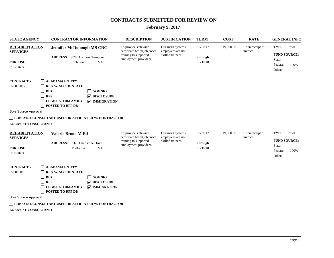# **February 9, 2017**

| <b>STATE AGENCY</b>                                         | <b>CONTRACTOR INFORMATION</b>                                                                                                                                                                          | <b>DESCRIPTION</b>                                                                                    | <b>JUSTIFICATION</b>                                        | <b>TERM</b>                     | <b>COST</b> | <b>RATE</b>                 | <b>GENERAL INFO</b>                                         |
|-------------------------------------------------------------|--------------------------------------------------------------------------------------------------------------------------------------------------------------------------------------------------------|-------------------------------------------------------------------------------------------------------|-------------------------------------------------------------|---------------------------------|-------------|-----------------------------|-------------------------------------------------------------|
| <b>REHABILITATION</b><br><b>SERVICES</b><br><b>PURPOSE:</b> | <b>Jennifer McDonough MS CRC</b><br><b>ADDRESS:</b> 8788 Osborne Turnpike<br>Richmond<br>VA.                                                                                                           | To provide statewide<br>certificate based job coach<br>training to supported<br>employment providers. | Our merit systems<br>employees are not<br>skilled trainers. | 02/10/17<br>through<br>09/30/18 | \$9,000.00  | Upon receipt of<br>invoice. | TYPE:<br>Rnwl<br><b>FUND SOURCE:</b><br>State:              |
| Consultant                                                  |                                                                                                                                                                                                        |                                                                                                       |                                                             |                                 |             |                             | Federal:<br>100%<br>Other:                                  |
| <b>CONTRACT#</b><br>C70870017                               | <b>ALABAMA ENTITY</b><br><b>REG W/SEC OF STATE</b><br><b>BID</b><br><b>GOV SIG</b><br><b>RFP</b><br><b>V</b> DISCLOSURE<br><b>LEGISLATOR/FAMILY</b><br><b>V</b> IMMIGRATION<br><b>POSTED TO RFP DB</b> |                                                                                                       |                                                             |                                 |             |                             |                                                             |
| Sole Source Approval                                        |                                                                                                                                                                                                        |                                                                                                       |                                                             |                                 |             |                             |                                                             |
|                                                             | <b>LOBBYIST/CONSULTANT USED OR AFFILIATED W/ CONTRACTOR</b>                                                                                                                                            |                                                                                                       |                                                             |                                 |             |                             |                                                             |
| LOBBYIST/CONSULTANT:                                        |                                                                                                                                                                                                        |                                                                                                       |                                                             |                                 |             |                             |                                                             |
| <b>REHABILITATION</b><br><b>SERVICES</b>                    | Valerie Brook M Ed                                                                                                                                                                                     | To provide statewide<br>certificate based job coach                                                   | Our merit systems<br>employees are not                      | 02/10/17                        | \$9,000.00  | Upon receipt of<br>invoice. | TYPE:<br>Rnwl                                               |
| <b>PURPOSE:</b><br>Consultant                               | <b>ADDRESS:</b> 2325 Chartstone Drive<br>Midlothian<br>VA                                                                                                                                              | training to supported<br>employment providers.                                                        | skilled trainers.                                           | through<br>09/30/18             |             |                             | <b>FUND SOURCE:</b><br>State:<br>Federal:<br>100%<br>Other: |
| <b>CONTRACT#</b><br>C70870018                               | <b>ALABAMA ENTITY</b><br><b>REG W/SEC OF STATE</b><br><b>BID</b><br><b>GOV SIG</b><br><b>V</b> DISCLOSURE<br><b>RFP</b><br><b>LEGISLATOR/FAMILY</b><br><b>V</b> IMMIGRATION<br>POSTED TO RFP DB        |                                                                                                       |                                                             |                                 |             |                             |                                                             |
| Sole Source Approval                                        |                                                                                                                                                                                                        |                                                                                                       |                                                             |                                 |             |                             |                                                             |
|                                                             | <b>LOBBYIST/CONSULTANT USED OR AFFILIATED W/ CONTRACTOR</b>                                                                                                                                            |                                                                                                       |                                                             |                                 |             |                             |                                                             |
| LOBBYIST/CONSULTANT:                                        |                                                                                                                                                                                                        |                                                                                                       |                                                             |                                 |             |                             |                                                             |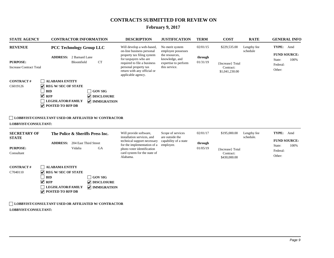# **February 9, 2017**

| <b>STATE AGENCY</b>                                                                                 | <b>CONTRACTOR INFORMATION</b>                                                                                                                                                                                                                                                                                                                                            | <b>DESCRIPTION</b>                                                                                                                                                                                                         | <b>JUSTIFICATION</b>                                                                                               | <b>TERM</b>                     | <b>COST</b>                                                     | <b>RATE</b>              | <b>GENERAL INFO</b>                                                      |  |  |
|-----------------------------------------------------------------------------------------------------|--------------------------------------------------------------------------------------------------------------------------------------------------------------------------------------------------------------------------------------------------------------------------------------------------------------------------------------------------------------------------|----------------------------------------------------------------------------------------------------------------------------------------------------------------------------------------------------------------------------|--------------------------------------------------------------------------------------------------------------------|---------------------------------|-----------------------------------------------------------------|--------------------------|--------------------------------------------------------------------------|--|--|
| <b>REVENUE</b><br><b>PURPOSE:</b><br><b>Increase Contract Total</b><br><b>CONTRACT#</b><br>C6019126 | <b>PCC Technology Group LLC</b><br><b>ADDRESS:</b> 2 Barnard Lane<br><b>CT</b><br>Bloomfield<br><b>ALABAMA ENTITY</b><br>$\triangledown$ REG W/ SEC OF STATE<br><b>BID</b><br><b>GOV SIG</b><br>$\vee$ RFP<br>DISCLOSURE<br><b>LEGISLATOR/FAMILY</b><br><b>V</b> IMMIGRATION<br>$\triangledown$ POSTED TO RFP DB<br>LOBBYIST/CONSULTANT USED OR AFFILIATED W/ CONTRACTOR | Will develop a web-based,<br>on-line business personal<br>property tax filing system<br>for taxpayers who are<br>required to file a business<br>personal property tax<br>return with any official or<br>applicable agency. | No merit system<br>employee possesses<br>the resources.<br>knowledge, and<br>expertise to perform<br>this service. | 02/01/15<br>through<br>01/31/19 | \$229,535.00<br>{Increase} Total<br>Contract:<br>\$1,041,230.00 | Lengthy fee<br>schedule  | TYPE: Amd<br><b>FUND SOURCE:</b><br>State:<br>100%<br>Federal:<br>Other: |  |  |
| LOBBYIST/CONSULTANT:<br><b>SECRETARY OF</b><br><b>STATE</b><br><b>PURPOSE:</b><br>Consultant        | The Police & Sheriffs Press Inc.<br><b>ADDRESS:</b><br>204 East Third Street<br>Vidalia<br><b>GA</b>                                                                                                                                                                                                                                                                     | Will provide software,<br>installation services, and<br>technical support necessary<br>for the implementation of a<br>photo voter identification<br>card system for the state of<br>Alabama.                               | Scope of services<br>are outside the<br>capability of a state<br>employee.                                         | 02/01/17<br>through<br>01/05/19 | \$195,000.00<br>{Increase} Total<br>Contract:<br>\$430,000.00   | Lengthy fee<br>schedule. | TYPE: Amd<br><b>FUND SOURCE:</b><br>100%<br>State:<br>Federal:<br>Other: |  |  |
| <b>CONTRACT#</b><br>C7040110                                                                        | <b>ALABAMA ENTITY</b><br>$\triangledown$ REG W/ SEC OF STATE<br><b>BID</b><br><b>GOV SIG</b><br>$\sqrt{ }$ RFP<br>$\sqrt{\phantom{a}}$ DISCLOSURE<br><b>LEGISLATOR/FAMILY</b><br>$\sqrt{\phantom{a}}$ IMMIGRATION<br>$\triangledown$ POSTED TO RFP DB                                                                                                                    |                                                                                                                                                                                                                            |                                                                                                                    |                                 |                                                                 |                          |                                                                          |  |  |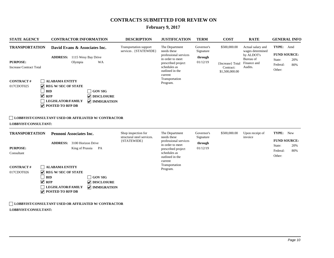# **February 9, 2017**

| <b>STATE AGENCY</b>                                                                                                                              | <b>CONTRACTOR INFORMATION</b>                                                                                                                                                                                                                                                                                  | <b>DESCRIPTION</b>                                               | <b>JUSTIFICATION</b>                                                                                                                                                         | <b>TERM</b>                                    | <b>COST</b>                                                     | <b>RATE</b>                                                                                | <b>GENERAL INFO</b>                                                            |
|--------------------------------------------------------------------------------------------------------------------------------------------------|----------------------------------------------------------------------------------------------------------------------------------------------------------------------------------------------------------------------------------------------------------------------------------------------------------------|------------------------------------------------------------------|------------------------------------------------------------------------------------------------------------------------------------------------------------------------------|------------------------------------------------|-----------------------------------------------------------------|--------------------------------------------------------------------------------------------|--------------------------------------------------------------------------------|
| <b>TRANSPORTATION</b><br><b>PURPOSE:</b><br><b>Increase Contract Total</b><br><b>CONTRACT#</b><br>017CDOT025<br>$\vee$ RFP                       | David Evans & Associates Inc.<br><b>ADDRESS:</b> 1115 Wesy Bay Drive<br><b>WA</b><br>Olympia<br><b>ALABAMA ENTITY</b><br>$\triangledown$ REG W/ SEC OF STATE<br><b>BID</b><br><b>GOV SIG</b><br><b>V</b> DISCLOSURE<br><b>LEGISLATOR/FAMILY</b><br>$\sqrt{\ }$ IMMIGRATION<br>$\triangledown$ POSTED TO RFP DB | <b>Transportation support</b><br>services . {STATEWIDE}          | The Department<br>needs these<br>professional services<br>in order to meet<br>prescribed project<br>schedules as<br>outlined in the<br>current<br>Transportation<br>Program. | Governor's<br>Signature<br>through<br>01/12/19 | \$500,000.00<br>{Increase} Total<br>Contract:<br>\$1,500,000.00 | Actual salary and<br>wages determined<br>by ALDOT's<br>Bureau of<br>Finance and<br>Audits. | TYPE: Amd<br><b>FUND SOURCE:</b><br>State:<br>20%<br>80%<br>Federal:<br>Other: |
| LOBBYIST/CONSULTANT:                                                                                                                             | LOBBYIST/CONSULTANT USED OR AFFILIATED W/ CONTRACTOR                                                                                                                                                                                                                                                           |                                                                  |                                                                                                                                                                              |                                                |                                                                 |                                                                                            | TYPE: New                                                                      |
| <b>TRANSPORTATION</b><br>Pennoni Associates Inc.<br><b>ADDRESS:</b> 3100 Horizon Drive<br><b>PURPOSE:</b><br>King of Prussia<br>PA<br>Consultant |                                                                                                                                                                                                                                                                                                                | Shop inspection for<br>structural steel services.<br>{STATEWIDE} | The Department<br>needs these<br>professional services<br>in order to meet<br>prescribed project<br>schedules as<br>outlined in the<br>current                               | Signature<br>through<br>01/12/19               | Governor's<br>\$500,000.00                                      | Upon receipt of<br>invoice                                                                 | <b>FUND SOURCE:</b><br>20%<br>State:<br>Federal:<br>80%<br>Other:              |
| <b>CONTRACT#</b><br>017CDOT026<br>$\vee$ RFP                                                                                                     | <b>ALABAMA ENTITY</b><br>$\sqrt{\phantom{a}}$ REG W/ SEC OF STATE<br><b>BID</b><br><b>GOV SIG</b><br><b>V</b> DISCLOSURE<br><b>LEGISLATOR/FAMILY</b><br><b>V</b> IMMIGRATION<br>$\triangledown$ POSTED TO RFP DB                                                                                               |                                                                  | Transportation<br>Program.                                                                                                                                                   |                                                |                                                                 |                                                                                            |                                                                                |
|                                                                                                                                                  | <b>LOBBYIST/CONSULTANT USED OR AFFILIATED W/ CONTRACTOR</b>                                                                                                                                                                                                                                                    |                                                                  |                                                                                                                                                                              |                                                |                                                                 |                                                                                            |                                                                                |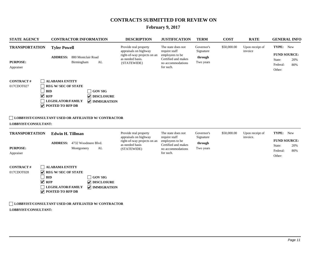# **February 9, 2017**

| <b>STATE AGENCY</b>                                                            | <b>CONTRACTOR INFORMATION</b>                                                                                                                                                                                                                              | <b>DESCRIPTION</b>                                                                                               | <b>JUSTIFICATION</b>                                                                                            | <b>TERM</b>                                     | <b>COST</b> | <b>RATE</b>                 | <b>GENERAL INFO</b>                                                            |
|--------------------------------------------------------------------------------|------------------------------------------------------------------------------------------------------------------------------------------------------------------------------------------------------------------------------------------------------------|------------------------------------------------------------------------------------------------------------------|-----------------------------------------------------------------------------------------------------------------|-------------------------------------------------|-------------|-----------------------------|--------------------------------------------------------------------------------|
| <b>TRANSPORTATION</b><br><b>PURPOSE:</b><br>Appraiser                          | <b>Tyler Powell</b><br><b>ADDRESS:</b><br>880 Montclair Road<br>Birmingham<br>AL                                                                                                                                                                           | Provide real property<br>appraisals on highway<br>right-of-way projects on an<br>as needed basis.<br>{STATEWIDE} | The state does not<br>require staff<br>employees to be<br>Certified and makes<br>no accommodations<br>for such. | Governor's<br>Signature<br>through<br>Two years | \$50,000.00 | Upon receipt of<br>invoice  | TYPE: New<br><b>FUND SOURCE:</b><br>20%<br>State:<br>Federal:<br>80%<br>Other: |
| <b>CONTRACT#</b><br>017CDOT027<br>$\vee$ RFP<br>LOBBYIST/CONSULTANT:           | <b>ALABAMA ENTITY</b><br><b>REG W/SEC OF STATE</b><br><b>GOV SIG</b><br><b>BID</b><br><b>V</b> DISCLOSURE<br><b>LEGISLATOR/FAMILY</b><br>$\triangledown$ IMMIGRATION<br>$\sqrt{}$ POSTED TO RFP DB<br>LOBBYIST/CONSULTANT USED OR AFFILIATED W/ CONTRACTOR |                                                                                                                  |                                                                                                                 |                                                 |             |                             |                                                                                |
| <b>TRANSPORTATION</b><br><b>PURPOSE:</b><br>Appraiser                          | <b>Edwin H. Tillman</b><br>ADDRESS: 4732 Woodmere Blvd.<br>AL<br>Montgomery                                                                                                                                                                                | Provide real property<br>appraisals on highway<br>right-of-way projects on an<br>as needed basis<br>(STATEWIDE)  | The state does not<br>require staff<br>employees to be<br>Certified and makes<br>no accommodations<br>for such. | Governor's<br>Signature<br>through<br>Two years | \$50,000.00 | Upon receipt of<br>invoice. | TYPE: New<br><b>FUND SOURCE:</b><br>State:<br>20%<br>Federal:<br>80%<br>Other: |
| <b>CONTRACT#</b><br>$\blacktriangledown$<br>017CDOT028<br>$\blacktriangledown$ | <b>ALABAMA ENTITY</b><br><b>REG W/SEC OF STATE</b><br><b>BID</b><br><b>GOV SIG</b><br><b>RFP</b><br>$\nabla$ DISCLOSURE<br><b>V</b> IMMIGRATION<br><b>LEGISLATOR/FAMILY</b><br>$\triangledown$ POSTED TO RFP DB                                            |                                                                                                                  |                                                                                                                 |                                                 |             |                             |                                                                                |
|                                                                                | LOBBYIST/CONSULTANT USED OR AFFILIATED W/ CONTRACTOR                                                                                                                                                                                                       |                                                                                                                  |                                                                                                                 |                                                 |             |                             |                                                                                |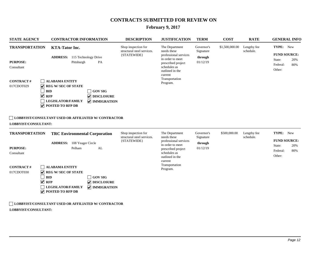# **February 9, 2017**

| <b>STATE AGENCY</b>                                                                                              | <b>CONTRACTOR INFORMATION</b>                                                                                                                                                                                                                                                                                                                                                         | <b>DESCRIPTION</b>                                               | <b>JUSTIFICATION</b>                                                                                                                                                         | <b>TERM</b>                                    | <b>COST</b>    | <b>RATE</b>              | <b>GENERAL INFO</b>                                                            |
|------------------------------------------------------------------------------------------------------------------|---------------------------------------------------------------------------------------------------------------------------------------------------------------------------------------------------------------------------------------------------------------------------------------------------------------------------------------------------------------------------------------|------------------------------------------------------------------|------------------------------------------------------------------------------------------------------------------------------------------------------------------------------|------------------------------------------------|----------------|--------------------------|--------------------------------------------------------------------------------|
| <b>TRANSPORTATION</b><br><b>PURPOSE:</b><br>Consultant<br><b>CONTRACT#</b><br>017CDOT029<br>LOBBYIST/CONSULTANT: | <b>KTA-Tator Inc.</b><br><b>ADDRESS:</b> 115 Technology Drive<br>Pittsburgh<br>PA<br><b>ALABAMA ENTITY</b><br>$\triangledown$ REG W/ SEC OF STATE<br><b>BID</b><br><b>GOV SIG</b><br>$\vee$ RFP<br>DISCLOSURE<br><b>LEGISLATOR/FAMILY</b><br><b>V</b> IMMIGRATION<br>$\triangledown$ POSTED TO RFP DB<br>LOBBYIST/CONSULTANT USED OR AFFILIATED W/ CONTRACTOR                         | Shop inspection for<br>structural steel services.<br>{STATEWIDE} | The Department<br>needs these<br>professional services<br>in order to meet<br>prescribed project<br>schedules as<br>outlined in the<br>current<br>Transportation<br>Program. | Governor's<br>Signature<br>through<br>01/12/19 | \$1,500,000.00 | Lengthy fee<br>schedule. | TYPE: New<br><b>FUND SOURCE:</b><br>20%<br>State:<br>Federal:<br>80%<br>Other: |
| <b>TRANSPORTATION</b><br><b>PURPOSE:</b><br>Consultant<br><b>CONTRACT#</b><br>017CDOT030                         | <b>TRC Environmental Corporation</b><br><b>ADDRESS:</b> 108 Yeager Circle<br>Pelham<br>AL<br><b>ALABAMA ENTITY</b><br>$\triangledown$ REG W/ SEC OF STATE<br><b>BID</b><br><b>GOV SIG</b><br>$\vee$ RFP<br>$\triangledown$ DISCLOSURE<br><b>LEGISLATOR/FAMILY</b><br><b>V</b> IMMIGRATION<br>$\triangledown$ POSTED TO RFP DB<br>LOBBYIST/CONSULTANT USED OR AFFILIATED W/ CONTRACTOR | Shop inspection for<br>structural steel services.<br>{STATEWIDE} | The Department<br>needs these<br>professional services<br>in order to meet<br>prescribed project<br>schedules as<br>outlined in the<br>current<br>Transportation<br>Program. | Governor's<br>Signature<br>through<br>01/12/19 | \$500,000.00   | Lengthy fee<br>schedule. | TYPE: New<br><b>FUND SOURCE:</b><br>State:<br>20%<br>Federal:<br>80%<br>Other: |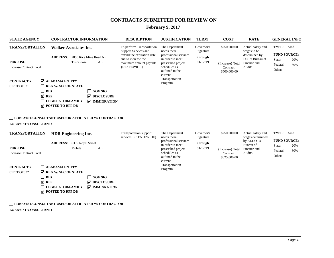## **February 9, 2017**

|                                                                                                                                                                                                                                                                                                                                                                                                                                                                                                                                                                                                                                                                                                                |                                                                     | <b>DESCRIPTION</b>                                                                                                                                                                                                                          | <b>JUSTIFICATION</b>                                                                                                                                                         | <b>TERM</b>                                    | <b>COST</b>                                                   | <b>RATE</b>                                                                                    | <b>GENERAL INFO</b>          |                                   |
|----------------------------------------------------------------------------------------------------------------------------------------------------------------------------------------------------------------------------------------------------------------------------------------------------------------------------------------------------------------------------------------------------------------------------------------------------------------------------------------------------------------------------------------------------------------------------------------------------------------------------------------------------------------------------------------------------------------|---------------------------------------------------------------------|---------------------------------------------------------------------------------------------------------------------------------------------------------------------------------------------------------------------------------------------|------------------------------------------------------------------------------------------------------------------------------------------------------------------------------|------------------------------------------------|---------------------------------------------------------------|------------------------------------------------------------------------------------------------|------------------------------|-----------------------------------|
| <b>STATE AGENCY</b><br><b>TRANSPORTATION</b><br><b>ADDRESS:</b><br><b>PURPOSE:</b><br>Tuscaloosa<br><b>Increase Contract Total</b><br><b>ALABAMA ENTITY</b><br><b>CONTRACT#</b><br>$\blacktriangledown$<br><b>REG W/SEC OF STATE</b><br>017CDOT031<br><b>BID</b><br>$\blacktriangledown$<br><b>RFP</b><br><b>LEGISLATOR/FAMILY</b><br>⊽<br><b>POSTED TO RFP DB</b><br><b>LOBBYIST/CONSULTANT USED OR AFFILIATED W/ CONTRACTOR</b><br><b>LOBBYIST/CONSULTANT:</b><br><b>TRANSPORTATION</b><br><b>PURPOSE:</b><br>Mobile<br><b>Increase Contract Total</b><br><b>CONTRACT#</b><br><b>ALABAMA ENTITY</b><br><b>REG W/SEC OF STATE</b><br>017CDOT032<br>$\blacktriangledown$<br><b>BID</b><br>$\blacktriangledown$ |                                                                     | To perform Transportation<br>Support Services and<br>extend the expiration date<br>and to increase the<br>maximum amount payable.<br>{STATEWIDE}                                                                                            | The Department<br>needs these<br>professional services<br>in order to meet<br>prescribed project<br>schedules as<br>outlined in the<br>current<br>Transportation<br>Program. | Governor's<br>Signature<br>through<br>01/12/19 | \$250,000.00<br>{Increase} Total<br>Contract:<br>\$500,000.00 | Actual salary and<br>wages to be<br>determined by<br>DOT's Bureau of<br>Finance and<br>Audits. | State:<br>Federal:<br>Other: | <b>FUND SOURCE:</b><br>20%<br>80% |
|                                                                                                                                                                                                                                                                                                                                                                                                                                                                                                                                                                                                                                                                                                                | AL<br><b>GOV SIG</b><br>$\nabla$ DISCLOSURE<br><b>V</b> IMMIGRATION | <b>Transportation support</b><br>services. {STATEWIDE}                                                                                                                                                                                      | The Department<br>needs these<br>professional services<br>in order to meet<br>prescribed project<br>schedules as<br>outlined in the<br>current<br>Transportation<br>Program. | Governor's<br>Signature<br>through<br>01/12/19 | \$250,000.00<br>{Increase} Total<br>Contract:<br>\$625,000.00 | Actual salary and<br>wages determined<br>by ALDOT's<br>Bureau of<br>Finance and<br>Audits.     | State:<br>Federal:<br>Other: | <b>FUND SOURCE:</b><br>20%<br>80% |
|                                                                                                                                                                                                                                                                                                                                                                                                                                                                                                                                                                                                                                                                                                                | <b>RFP</b><br><b>LEGISLATOR/FAMILY</b><br><b>POSTED TO RFP DB</b>   | <b>CONTRACTOR INFORMATION</b><br><b>Walker Associates Inc.</b><br>2890 Rice Mine Road NE<br>AL<br><b>GOV SIG</b><br><b>V</b> DISCLOSURE<br>$\triangledown$ IMMIGRATION<br><b>HDR</b> Engineering Inc.<br><b>ADDRESS:</b> 63 S. Royal Street |                                                                                                                                                                              |                                                |                                                               |                                                                                                |                              | TYPE: Amd<br>TYPE: Amd            |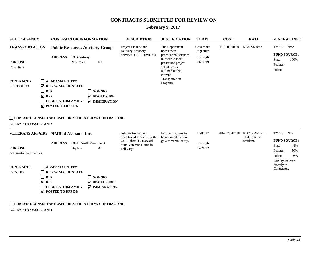# **February 9, 2017**

| <b>STATE AGENCY</b>                                                                                              | <b>CONTRACTOR INFORMATION</b>                                                                                                                                                                                                                                                                                                                                           | <b>DESCRIPTION</b>                                                                                                  | <b>JUSTIFICATION</b>                                                                                                                                                         | <b>TERM</b>                                    | <b>COST</b>      | <b>RATE</b>                                      | <b>GENERAL INFO</b>                                                                  |  |  |
|------------------------------------------------------------------------------------------------------------------|-------------------------------------------------------------------------------------------------------------------------------------------------------------------------------------------------------------------------------------------------------------------------------------------------------------------------------------------------------------------------|---------------------------------------------------------------------------------------------------------------------|------------------------------------------------------------------------------------------------------------------------------------------------------------------------------|------------------------------------------------|------------------|--------------------------------------------------|--------------------------------------------------------------------------------------|--|--|
| <b>TRANSPORTATION</b><br><b>PURPOSE:</b><br>Consultant<br><b>CONTRACT#</b><br>017CDOT033<br>LOBBYIST/CONSULTANT: | <b>Public Resources Advisory Group</b><br><b>ADDRESS:</b> 39 Broadway<br>New York<br>NY<br><b>ALABAMA ENTITY</b><br>V<br><b>REG W/SEC OF STATE</b><br><b>BID</b><br>$\Box$ GOV SIG<br>$\vee$ RFP<br><b>V</b> DISCLOSURE<br><b>LEGISLATOR/FAMILY</b><br><b>V</b> IMMIGRATION<br>$\triangledown$ POSTED TO RFP DB<br>LOBBYIST/CONSULTANT USED OR AFFILIATED W/ CONTRACTOR | Project Finance and<br>Delivery Advisory<br>Services. {STATEWIDE}                                                   | The Department<br>needs these<br>professional services<br>in order to meet<br>prescribed project<br>schedules as<br>outlined in the<br>current<br>Transportation<br>Program. | Governor's<br>Signature<br>through<br>01/12/19 | \$1,000,000.00   | \$175-\$400/hr.                                  | TYPE: New<br><b>FUND SOURCE:</b><br>100%<br>State:<br>Federal:<br>Other:             |  |  |
| <b>PURPOSE:</b><br><b>Administrative Services</b>                                                                | VETERANS AFFAIRS HMR of Alabama Inc.<br><b>ADDRESS:</b> 28311 North Main Street<br>AL<br>Daphne                                                                                                                                                                                                                                                                         | Administrative and<br>operational services for the<br>Col. Robert L. Howard<br>State Veterans Home in<br>Pell City. | Required by law to<br>be operated by non-<br>governmental entity.                                                                                                            | 03/01/17<br>through<br>02/28/22                | \$104,978,428.00 | \$142.69/\$225.95<br>Daily rate per<br>resident. | TYPE: New<br><b>FUND SOURCE:</b><br>State:<br>44%<br>Federal:<br>50%<br>Other:<br>6% |  |  |
| <b>CONTRACT#</b><br>C7050003                                                                                     | <b>ALABAMA ENTITY</b><br><b>REG W/SEC OF STATE</b><br><b>BID</b><br><b>GOV SIG</b><br>$\sqrt{ }$ RFP<br>$\triangledown$ DISCLOSURE<br>$\sqrt{\phantom{a}}$ IMMIGRATION<br><b>LEGISLATOR/FAMILY</b><br>$\overline{\mathbf{v}}$<br>POSTED TO RFP DB                                                                                                                       |                                                                                                                     |                                                                                                                                                                              |                                                |                  |                                                  | Paid by Veteran<br>directly to<br>Contractor.                                        |  |  |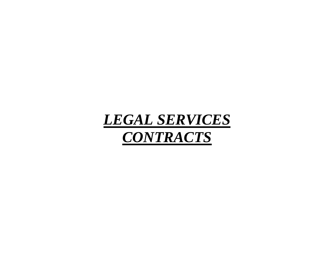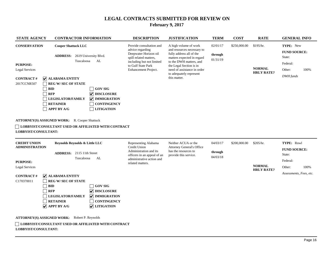| <b>STATE AGENCY</b>                                                                                                                                                                                                                                                                                                                                                                                                                                                                                     | <b>CONTRACTOR INFORMATION</b>                                                                                 |                                                                                                                                                                            | <b>DESCRIPTION</b>                                                                                                                                                                                                                            | <b>JUSTIFICATION</b>                                                                                | <b>TERM</b>  | <b>COST</b>                                     | <b>RATE</b>                                                                   | <b>GENERAL INFO</b>                  |  |
|---------------------------------------------------------------------------------------------------------------------------------------------------------------------------------------------------------------------------------------------------------------------------------------------------------------------------------------------------------------------------------------------------------------------------------------------------------------------------------------------------------|---------------------------------------------------------------------------------------------------------------|----------------------------------------------------------------------------------------------------------------------------------------------------------------------------|-----------------------------------------------------------------------------------------------------------------------------------------------------------------------------------------------------------------------------------------------|-----------------------------------------------------------------------------------------------------|--------------|-------------------------------------------------|-------------------------------------------------------------------------------|--------------------------------------|--|
| <b>CONSERVATION</b><br><b>Cooper Shattuck LLC</b><br>2619 University Blvd.<br><b>ADDRESS:</b><br>Tuscaloosa<br>AL<br><b>PURPOSE:</b><br>Legal Services<br>$ $ ALABAMA ENTITY<br><b>CONTRACT#</b><br>2017CCNR507<br><b>REG W/SEC OF STATE</b><br><b>GOV SIG</b><br><b>BID</b><br>$ $ DISCLOSURE<br><b>RFP</b><br><b>LEGISLATOR/FAMILY</b><br>$ $ IMMIGRATION<br><b>RETAINER</b><br><b>CONTINGENCY</b><br><b>APPT BY A/G</b><br><b>LITIGATION</b><br><b>ATTORNEY(S) ASSIGNED WORK:</b> R. Cooper Shattuck |                                                                                                               | Provide consultation and<br>advice regarding<br>Deepwater Horizon oil<br>spill related matters,<br>including but not limited<br>to Gulf State Park<br>Enhancement Project. | A high volume of work<br>and resources necessary to<br>fully address all of the<br>matters expected in regard<br>to the DWH matters, and<br>the Legal Section is in<br>need of assistance in order<br>to adequately represent<br>this matter. | 02/01/17<br>through<br>01/31/19                                                                     | \$250,000.00 | \$195/hr.<br><b>NORMAL</b><br><b>HRLY RATE?</b> | TYPE: New<br><b>FUND SOURCE:</b><br>State:<br>Federal:<br>Other:<br>DWH funds | 100%                                 |  |
| LOBBYIST/CONSULTANT:                                                                                                                                                                                                                                                                                                                                                                                                                                                                                    | LOBBYIST/CONSULTANT USED OR AFFILIATED WITH CONTRACT                                                          |                                                                                                                                                                            |                                                                                                                                                                                                                                               |                                                                                                     |              |                                                 |                                                                               |                                      |  |
| $CD$ <b>DRIVE INTO 11</b>                                                                                                                                                                                                                                                                                                                                                                                                                                                                               | $\cdots$<br>$\mathbf{11}$ $\mathbf{0}$ $\mathbf{12}$ $\mathbf{13}$ $\mathbf{15}$ $\mathbf{0}$<br>$\mathbf{r}$ |                                                                                                                                                                            | $\mathbf{n}$ $\mathbf{r}$ $\mathbf{r}$                                                                                                                                                                                                        | $\mathbf{M}^{-1}A = \mathbf{A} \mathbf{C} \mathbf{I} \mathbf{I} \mathbf{A} = \mathbf{A} \mathbf{I}$ | 0.4/02/17    | 0.0000000                                       | 0.005a                                                                        | $\mathbf{m}\mathbf{v}\mathbf{m}$ n 1 |  |

| <b>CREDIT UNION</b>   | Reynolds Reynolds & Little LLC                          |                            | Representing Alabama                                                  | Neither ACUA or the                                                               | 04/03/17            | \$200,000.00 | \$205/hr.                          | <b>TYPE:</b> Rnwl       |      |
|-----------------------|---------------------------------------------------------|----------------------------|-----------------------------------------------------------------------|-----------------------------------------------------------------------------------|---------------------|--------------|------------------------------------|-------------------------|------|
| <b>ADMINISTRATION</b> | $211511th$ Street<br><b>ADDRESS:</b>                    |                            | Credit Union<br>Administration and its<br>officers in an appeal of an | <b>Attorney General's Office</b><br>has the resources to<br>provide this service. | through<br>04/03/18 |              | <b>FUND SOURCE:</b><br>State:      |                         |      |
| <b>PURPOSE:</b>       | Tuscaloosa                                              | AL                         | administrative action and<br>related matters.                         |                                                                                   |                     |              |                                    | Federal:                |      |
| Legal Services        |                                                         |                            |                                                                       |                                                                                   |                     |              | <b>NORMAL</b><br><b>HRLY RATE?</b> | Other:                  | 100% |
| <b>CONTRACT#</b>      | $ $ ALABAMA ENTITY                                      |                            |                                                                       |                                                                                   |                     |              |                                    | Assessments, Fees, etc. |      |
| C170370011            | <b>REG W/SEC OF STATE</b>                               |                            |                                                                       |                                                                                   |                     |              |                                    |                         |      |
|                       | <b>BID</b>                                              | <b>GOV SIG</b>             |                                                                       |                                                                                   |                     |              |                                    |                         |      |
|                       | <b>RFP</b>                                              | $\triangledown$ DISCLOSURE |                                                                       |                                                                                   |                     |              |                                    |                         |      |
|                       | <b>LEGISLATOR/FAMILY</b>                                | $ $ MMIGRATION             |                                                                       |                                                                                   |                     |              |                                    |                         |      |
|                       | <b>RETAINER</b>                                         | CONTINGENCY                |                                                                       |                                                                                   |                     |              |                                    |                         |      |
|                       | $ $ APPT BY A/G                                         | <b>V</b> LITIGATION        |                                                                       |                                                                                   |                     |              |                                    |                         |      |
|                       | <b>ATTORNEY(S) ASSIGNED WORK:</b><br>Robert P. Reynolds |                            |                                                                       |                                                                                   |                     |              |                                    |                         |      |
| LOBBYIST/CONSULTANT:  | LOBBYIST/CONSULTANT USED OR AFFILIATED WITH CONTRACT    |                            |                                                                       |                                                                                   |                     |              |                                    |                         |      |
|                       |                                                         |                            |                                                                       |                                                                                   |                     |              |                                    |                         |      |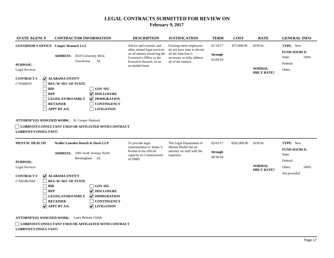| <b>STATE AGENCY</b>                                                                                                                                                                                                                                                                                                                                                                                                                                   |                                                                                                                                                   |  |                                    | <b>CONTRACTOR INFORMATION</b>                                                                                                                  | <b>DESCRIPTION</b>                                                                                                                                                  | <b>JUSTIFICATION</b>                                                                                                                | <b>TERM</b>                        | <b>COST</b>                                  | <b>RATE</b>                                     | <b>GENERAL INFO</b>                                              |      |
|-------------------------------------------------------------------------------------------------------------------------------------------------------------------------------------------------------------------------------------------------------------------------------------------------------------------------------------------------------------------------------------------------------------------------------------------------------|---------------------------------------------------------------------------------------------------------------------------------------------------|--|------------------------------------|------------------------------------------------------------------------------------------------------------------------------------------------|---------------------------------------------------------------------------------------------------------------------------------------------------------------------|-------------------------------------------------------------------------------------------------------------------------------------|------------------------------------|----------------------------------------------|-------------------------------------------------|------------------------------------------------------------------|------|
| <b>GOVERNOR'S OFFICE Cooper Shattuck LLC</b><br><b>PURPOSE:</b><br><b>Legal Services</b><br><b>CONTRACT#</b><br>C70360019                                                                                                                                                                                                                                                                                                                             | $ $ ALABAMA ENTITY<br><b>REG W/SEC OF STATE</b><br>${\bf BID}$<br><b>RFP</b><br><b>LEGISLATOR/FAMILY</b><br><b>RETAINER</b><br><b>APPT BY A/G</b> |  | Tuscaloosa                         | <b>ADDRESS:</b> 2619 University Blvd.<br>AL<br><b>GOV SIG</b><br>DISCLOSURE<br><b>V</b> IMMIGRATION<br><b>CONTINGENCY</b><br><b>LITIGATION</b> | Advice and counsel, and<br>other related legal services,<br>on all matters involving the<br>Governor's Office or the<br>Executive Branch, on an<br>as-needed basis. | Existing merit employees<br>do not have time to devote<br>all the time that is<br>necessary to fully address<br>all of the matters. | 01/10/17<br>through<br>01/09/18    | \$75,000.00                                  | \$195/hr.<br><b>NORMAL</b><br><b>HRLY RATE?</b> | TYPE: New<br><b>FUND SOURCE:</b><br>State:<br>Federal:<br>Other: | 100% |
| ATTORNEY(S) ASSIGNED WORK: R. Cooper Shattuck<br><b>LOBBYIST/CONSULTANT USED OR AFFILIATED WITH CONTRACT</b><br>LOBBYIST/CONSULTANT:<br><b>MENTAL HEALTH</b>                                                                                                                                                                                                                                                                                          |                                                                                                                                                   |  |                                    | Waller Lansden Dortch & Davis LLP                                                                                                              | To provide legal<br>representation to James V.<br>Perdue in his official                                                                                            | The Legal Department of<br>Mental Health has no<br>attorney on staff with the                                                       | 02/01/17<br>through                | \$285,000.00                                 | \$195/hr.                                       | TYPE: New<br><b>FUND SOURCE:</b>                                 |      |
| 1901 Sixth Avenue North<br><b>ADDRESS:</b><br>Birmingham AL<br><b>PURPOSE:</b><br><b>Legal Services</b><br><b>CONTRACT#</b><br>$\triangledown$ ALABAMA ENTITY<br>C7061863504<br><b>REG W/SEC OF STATE</b><br>${\bf BID}$<br><b>GOV SIG</b><br><b>RFP</b><br>$\triangledown$ DISCLOSURE<br><b>LEGISLATOR/FAMILY</b><br>$\triangledown$ IMMIGRATION<br><b>RETAINER</b><br><b>CONTINGENCY</b><br>$\sqrt{\phantom{a}}$ APPT BY A/G<br><b>V</b> LITIGATION |                                                                                                                                                   |  | capacity as Commissioner<br>of DMH | expertise.                                                                                                                                     | 09/30/18                                                                                                                                                            |                                                                                                                                     | <b>NORMAL</b><br><b>HRLY RATE?</b> | State:<br>Federal:<br>Other:<br>Not provided | 100%                                            |                                                                  |      |
| <b>ATTORNEY(S) ASSIGNED WORK:</b> Larry Brittain Childs<br>LOBBYIST/CONSULTANT:                                                                                                                                                                                                                                                                                                                                                                       |                                                                                                                                                   |  |                                    | LOBBYIST/CONSULTANT USED OR AFFILIATED WITH CONTRACT                                                                                           |                                                                                                                                                                     |                                                                                                                                     |                                    |                                              |                                                 |                                                                  |      |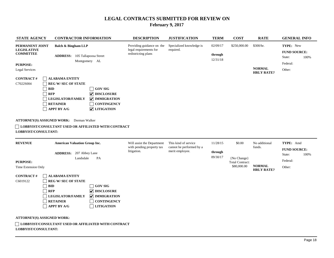| <b>STATE AGENCY</b>                                       | <b>CONTRACTOR INFORMATION</b>                                                                                                                       |                                                                                             | <b>DESCRIPTION</b>                                                         | <b>JUSTIFICATION</b>                  | <b>TERM</b>                     | <b>COST</b>  | <b>RATE</b> | <b>GENERAL INFO</b>                        |      |
|-----------------------------------------------------------|-----------------------------------------------------------------------------------------------------------------------------------------------------|---------------------------------------------------------------------------------------------|----------------------------------------------------------------------------|---------------------------------------|---------------------------------|--------------|-------------|--------------------------------------------|------|
| PERMANENT JOINT<br><b>LEGISLATIVE</b><br><b>COMMITTEE</b> | <b>Balch &amp; Bingham LLP</b><br><b>ADDRESS:</b>                                                                                                   | 105 Tallapoosa Street                                                                       | Providing guidance on the<br>legal requirements for<br>redistricting plans | Specialized knowledge is<br>required. | 02/09/17<br>through<br>12/31/18 | \$250,000.00 | \$300/hr.   | TYPE: New<br><b>FUND SOURCE:</b><br>State: | 100% |
| <b>PURPOSE:</b><br><b>Legal Services</b>                  | Montgomery AL<br><b>NORMAL</b><br><b>HRLY RATE?</b>                                                                                                 |                                                                                             |                                                                            |                                       |                                 |              |             | Federal:<br>Other:                         |      |
| <b>CONTRACT#</b><br>C7022S004                             | <b>ALABAMA ENTITY</b><br><b>REG W/SEC OF STATE</b><br><b>BID</b><br><b>RFP</b><br><b>LEGISLATOR/FAMILY</b><br><b>RETAINER</b><br><b>APPT BY A/G</b> | <b>GOV SIG</b><br>$ $ DISCLOSURE<br>$ $ IMMIGRATION<br><b>CONTINGENCY</b><br>$ $ LITIGATION |                                                                            |                                       |                                 |              |             |                                            |      |
| ATTORNEY(S) ASSIGNED WORK:<br>LOBBYIST/CONSULTANT:        | Dorman Walker<br>LOBBYIST/CONSULTANT USED OR AFFILIATED WITH CONTRACT                                                                               |                                                                                             |                                                                            |                                       |                                 |              |             |                                            |      |

| <b>REVENUE</b>                            | <b>American Valuation Group Inc.</b>                 |                    | Will assist the Department               | This kind of service                        | 11/28/15            | \$0.00                                | No additional                      | <b>TYPE:</b> Amd    |      |
|-------------------------------------------|------------------------------------------------------|--------------------|------------------------------------------|---------------------------------------------|---------------------|---------------------------------------|------------------------------------|---------------------|------|
|                                           |                                                      |                    | with pending property tax<br>litigation. | cannot be performed by a<br>merit employee. |                     |                                       | funds.                             | <b>FUND SOURCE:</b> |      |
|                                           | <b>ADDRESS:</b><br>207 Abbey Lane                    |                    |                                          |                                             | through<br>09/30/17 | {No Change}<br><b>Total Contract:</b> |                                    | State:              | 100% |
| <b>PURPOSE:</b>                           | Landsdale<br>PA                                      |                    |                                          |                                             |                     |                                       |                                    | Federal:            |      |
| Time Extension Only                       |                                                      |                    |                                          |                                             |                     | \$80,000.00                           | <b>NORMAL</b><br><b>HRLY RATE?</b> | Other:              |      |
| <b>ALABAMA ENTITY</b><br><b>CONTRACT#</b> |                                                      |                    |                                          |                                             |                     |                                       |                                    |                     |      |
| C6019122                                  | <b>REG W/SEC OF STATE</b>                            |                    |                                          |                                             |                     |                                       |                                    |                     |      |
|                                           | <b>BID</b>                                           | <b>GOV SIG</b>     |                                          |                                             |                     |                                       |                                    |                     |      |
|                                           | <b>RFP</b>                                           | DISCLOSURE         |                                          |                                             |                     |                                       |                                    |                     |      |
|                                           | LEGISLATOR/FAMILY                                    | $ $ IMMIGRATION    |                                          |                                             |                     |                                       |                                    |                     |      |
|                                           | <b>RETAINER</b>                                      | <b>CONTINGENCY</b> |                                          |                                             |                     |                                       |                                    |                     |      |
|                                           | <b>APPT BY A/G</b>                                   | <b>LITIGATION</b>  |                                          |                                             |                     |                                       |                                    |                     |      |
|                                           |                                                      |                    |                                          |                                             |                     |                                       |                                    |                     |      |
|                                           | <b>ATTORNEY(S) ASSIGNED WORK:</b>                    |                    |                                          |                                             |                     |                                       |                                    |                     |      |
| <b>LOBBYIST/CONSULTANT:</b>               | LOBBYIST/CONSULTANT USED OR AFFILIATED WITH CONTRACT |                    |                                          |                                             |                     |                                       |                                    |                     |      |